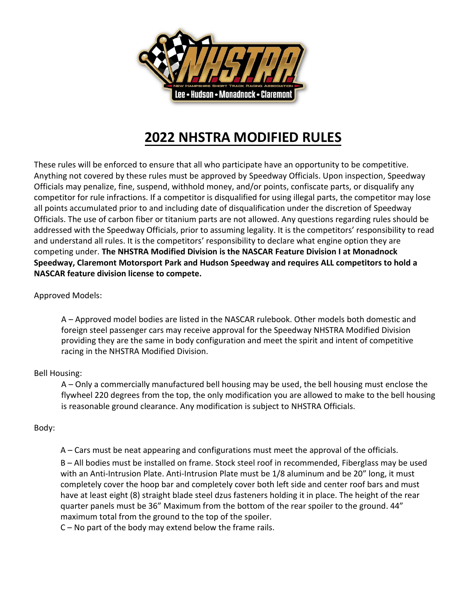

# **2022 NHSTRA MODIFIED RULES**

These rules will be enforced to ensure that all who participate have an opportunity to be competitive. Anything not covered by these rules must be approved by Speedway Officials. Upon inspection, Speedway Officials may penalize, fine, suspend, withhold money, and/or points, confiscate parts, or disqualify any competitor for rule infractions. If a competitor is disqualified for using illegal parts, the competitor may lose all points accumulated prior to and including date of disqualification under the discretion of Speedway Officials. The use of carbon fiber or titanium parts are not allowed. Any questions regarding rules should be addressed with the Speedway Officials, prior to assuming legality. It is the competitors' responsibility to read and understand all rules. It is the competitors' responsibility to declare what engine option they are competing under. **The NHSTRA Modified Division is the NASCAR Feature Division I at Monadnock Speedway, Claremont Motorsport Park and Hudson Speedway and requires ALL competitors to hold a NASCAR feature division license to compete.**

## Approved Models:

A – Approved model bodies are listed in the NASCAR rulebook. Other models both domestic and foreign steel passenger cars may receive approval for the Speedway NHSTRA Modified Division providing they are the same in body configuration and meet the spirit and intent of competitive racing in the NHSTRA Modified Division.

#### Bell Housing:

A – Only a commercially manufactured bell housing may be used, the bell housing must enclose the flywheel 220 degrees from the top, the only modification you are allowed to make to the bell housing is reasonable ground clearance. Any modification is subject to NHSTRA Officials.

#### Body:

A – Cars must be neat appearing and configurations must meet the approval of the officials.

B – All bodies must be installed on frame. Stock steel roof in recommended, Fiberglass may be used with an Anti-Intrusion Plate. Anti-Intrusion Plate must be 1/8 aluminum and be 20" long, it must completely cover the hoop bar and completely cover both left side and center roof bars and must have at least eight (8) straight blade steel dzus fasteners holding it in place. The height of the rear quarter panels must be 36" Maximum from the bottom of the rear spoiler to the ground. 44" maximum total from the ground to the top of the spoiler.

C – No part of the body may extend below the frame rails.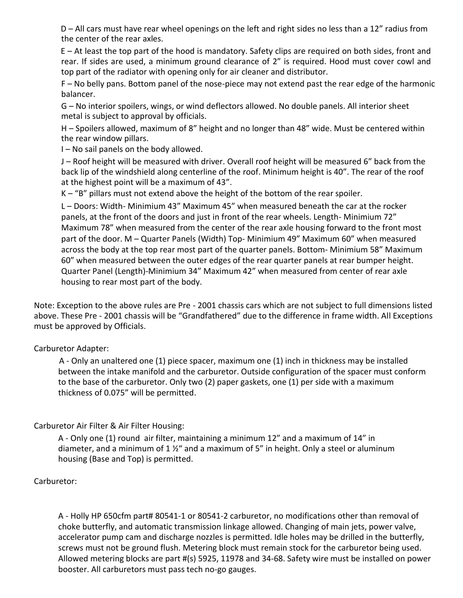D – All cars must have rear wheel openings on the left and right sides no less than a 12" radius from the center of the rear axles.

E – At least the top part of the hood is mandatory. Safety clips are required on both sides, front and rear. If sides are used, a minimum ground clearance of 2" is required. Hood must cover cowl and top part of the radiator with opening only for air cleaner and distributor.

F – No belly pans. Bottom panel of the nose-piece may not extend past the rear edge of the harmonic balancer.

G – No interior spoilers, wings, or wind deflectors allowed. No double panels. All interior sheet metal is subject to approval by officials.

H – Spoilers allowed, maximum of 8" height and no longer than 48" wide. Must be centered within the rear window pillars.

I – No sail panels on the body allowed.

J – Roof height will be measured with driver. Overall roof height will be measured 6" back from the back lip of the windshield along centerline of the roof. Minimum height is 40". The rear of the roof at the highest point will be a maximum of 43".

K – "B" pillars must not extend above the height of the bottom of the rear spoiler.

L – Doors: Width- Minimium 43" Maximum 45" when measured beneath the car at the rocker panels, at the front of the doors and just in front of the rear wheels. Length- Minimium 72" Maximum 78" when measured from the center of the rear axle housing forward to the front most part of the door. M – Quarter Panels (Width) Top- Minimium 49" Maximum 60" when measured across the body at the top rear most part of the quarter panels. Bottom- Minimium 58" Maximum 60" when measured between the outer edges of the rear quarter panels at rear bumper height. Quarter Panel (Length)-Minimium 34" Maximum 42" when measured from center of rear axle housing to rear most part of the body.

Note: Exception to the above rules are Pre - 2001 chassis cars which are not subject to full dimensions listed above. These Pre - 2001 chassis will be "Grandfathered" due to the difference in frame width. All Exceptions must be approved by Officials.

## Carburetor Adapter:

A - Only an unaltered one (1) piece spacer, maximum one (1) inch in thickness may be installed between the intake manifold and the carburetor. Outside configuration of the spacer must conform to the base of the carburetor. Only two (2) paper gaskets, one (1) per side with a maximum thickness of 0.075" will be permitted.

## Carburetor Air Filter & Air Filter Housing:

A - Only one (1) round air filter, maintaining a minimum 12" and a maximum of 14" in diameter, and a minimum of 1  $\frac{1}{2}$ " and a maximum of 5" in height. Only a steel or aluminum housing (Base and Top) is permitted.

#### Carburetor:

A - Holly HP 650cfm part# 80541-1 or 80541-2 carburetor, no modifications other than removal of choke butterfly, and automatic transmission linkage allowed. Changing of main jets, power valve, accelerator pump cam and discharge nozzles is permitted. Idle holes may be drilled in the butterfly, screws must not be ground flush. Metering block must remain stock for the carburetor being used. Allowed metering blocks are part #(s) 5925, 11978 and 34-68. Safety wire must be installed on power booster. All carburetors must pass tech no-go gauges.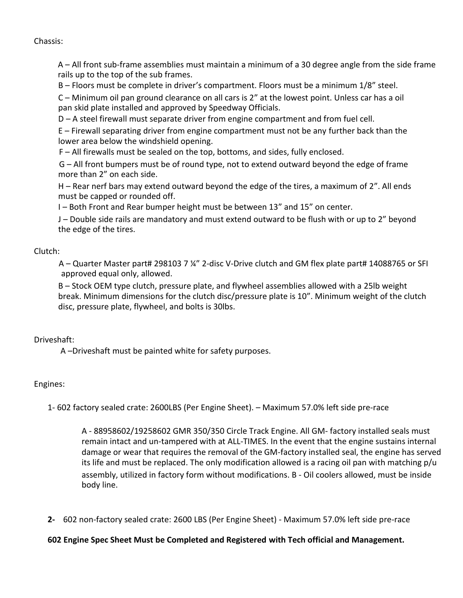Chassis:

A – All front sub-frame assemblies must maintain a minimum of a 30 degree angle from the side frame rails up to the top of the sub frames.

B – Floors must be complete in driver's compartment. Floors must be a minimum 1/8" steel.

C – Minimum oil pan ground clearance on all cars is 2" at the lowest point. Unless car has a oil pan skid plate installed and approved by Speedway Officials.

D – A steel firewall must separate driver from engine compartment and from fuel cell.

E – Firewall separating driver from engine compartment must not be any further back than the lower area below the windshield opening.

F – All firewalls must be sealed on the top, bottoms, and sides, fully enclosed.

G – All front bumpers must be of round type, not to extend outward beyond the edge of frame more than 2" on each side.

H – Rear nerf bars may extend outward beyond the edge of the tires, a maximum of 2". All ends must be capped or rounded off.

I – Both Front and Rear bumper height must be between 13" and 15" on center.

J – Double side rails are mandatory and must extend outward to be flush with or up to 2" beyond the edge of the tires.

## Clutch:

A – Quarter Master part# 298103 7 ¼" 2-disc V-Drive clutch and GM flex plate part# 14088765 or SFI approved equal only, allowed.

B – Stock OEM type clutch, pressure plate, and flywheel assemblies allowed with a 25lb weight break. Minimum dimensions for the clutch disc/pressure plate is 10". Minimum weight of the clutch disc, pressure plate, flywheel, and bolts is 30lbs.

#### Driveshaft:

A –Driveshaft must be painted white for safety purposes.

#### Engines:

1- 602 factory sealed crate: 2600LBS (Per Engine Sheet). – Maximum 57.0% left side pre-race

A - 88958602/19258602 GMR 350/350 Circle Track Engine. All GM- factory installed seals must remain intact and un-tampered with at ALL-TIMES. In the event that the engine sustains internal damage or wear that requires the removal of the GM-factory installed seal, the engine has served its life and must be replaced. The only modification allowed is a racing oil pan with matching p/u assembly, utilized in factory form without modifications. B - Oil coolers allowed, must be inside body line.

**2-** 602 non-factory sealed crate: 2600 LBS (Per Engine Sheet) - Maximum 57.0% left side pre-race

#### **602 Engine Spec Sheet Must be Completed and Registered with Tech official and Management.**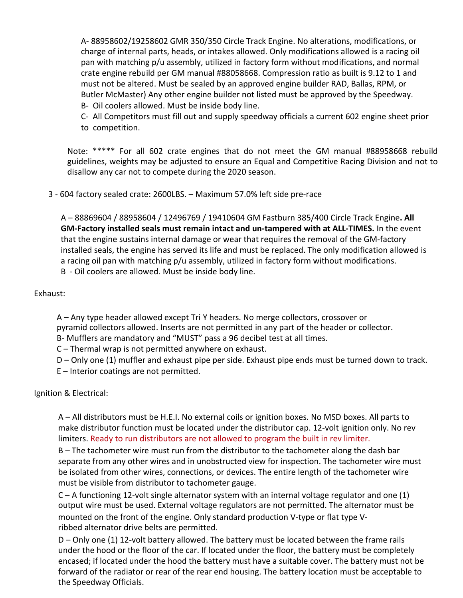A- 88958602/19258602 GMR 350/350 Circle Track Engine. No alterations, modifications, or charge of internal parts, heads, or intakes allowed. Only modifications allowed is a racing oil pan with matching p/u assembly, utilized in factory form without modifications, and normal crate engine rebuild per GM manual #88058668. Compression ratio as built is 9.12 to 1 and must not be altered. Must be sealed by an approved engine builder RAD, Ballas, RPM, or Butler McMaster) Any other engine builder not listed must be approved by the Speedway.

B- Oil coolers allowed. Must be inside body line.

C- All Competitors must fill out and supply speedway officials a current 602 engine sheet prior to competition.

Note: \*\*\*\*\* For all 602 crate engines that do not meet the GM manual #88958668 rebuild guidelines, weights may be adjusted to ensure an Equal and Competitive Racing Division and not to disallow any car not to compete during the 2020 season.

3 - 604 factory sealed crate: 2600LBS. – Maximum 57.0% left side pre-race

A – 88869604 / 88958604 / 12496769 / 19410604 GM Fastburn 385/400 Circle Track Engine**. All GM-Factory installed seals must remain intact and un-tampered with at ALL-TIMES.** In the event that the engine sustains internal damage or wear that requires the removal of the GM-factory installed seals, the engine has served its life and must be replaced. The only modification allowed is a racing oil pan with matching p/u assembly, utilized in factory form without modifications. B - Oil coolers are allowed. Must be inside body line.

Exhaust:

A – Any type header allowed except Tri Y headers. No merge collectors, crossover or pyramid collectors allowed. Inserts are not permitted in any part of the header or collector. B- Mufflers are mandatory and "MUST" pass a 96 decibel test at all times.

C – Thermal wrap is not permitted anywhere on exhaust.

D – Only one (1) muffler and exhaust pipe per side. Exhaust pipe ends must be turned down to track.

E – Interior coatings are not permitted.

Ignition & Electrical:

A – All distributors must be H.E.I. No external coils or ignition boxes. No MSD boxes. All parts to make distributor function must be located under the distributor cap. 12-volt ignition only. No rev limiters. Ready to run distributors are not allowed to program the built in rev limiter.

B – The tachometer wire must run from the distributor to the tachometer along the dash bar separate from any other wires and in unobstructed view for inspection. The tachometer wire must be isolated from other wires, connections, or devices. The entire length of the tachometer wire must be visible from distributor to tachometer gauge.

C – A functioning 12-volt single alternator system with an internal voltage regulator and one (1) output wire must be used. External voltage regulators are not permitted. The alternator must be mounted on the front of the engine. Only standard production V-type or flat type Vribbed alternator drive belts are permitted.

D – Only one (1) 12-volt battery allowed. The battery must be located between the frame rails under the hood or the floor of the car. If located under the floor, the battery must be completely encased; if located under the hood the battery must have a suitable cover. The battery must not be forward of the radiator or rear of the rear end housing. The battery location must be acceptable to the Speedway Officials.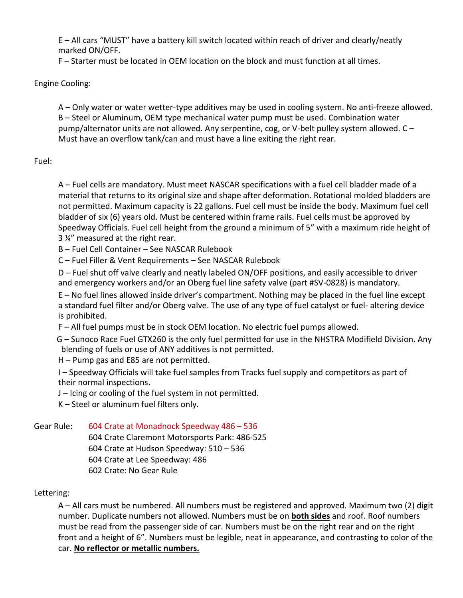E – All cars "MUST" have a battery kill switch located within reach of driver and clearly/neatly marked ON/OFF.

F – Starter must be located in OEM location on the block and must function at all times.

## Engine Cooling:

A – Only water or water wetter-type additives may be used in cooling system. No anti-freeze allowed. B – Steel or Aluminum, OEM type mechanical water pump must be used. Combination water pump/alternator units are not allowed. Any serpentine, cog, or V-belt pulley system allowed. C – Must have an overflow tank/can and must have a line exiting the right rear.

## Fuel:

A – Fuel cells are mandatory. Must meet NASCAR specifications with a fuel cell bladder made of a material that returns to its original size and shape after deformation. Rotational molded bladders are not permitted. Maximum capacity is 22 gallons. Fuel cell must be inside the body. Maximum fuel cell bladder of six (6) years old. Must be centered within frame rails. Fuel cells must be approved by Speedway Officials. Fuel cell height from the ground a minimum of 5" with a maximum ride height of 3 ¼" measured at the right rear.

B – Fuel Cell Container – See NASCAR Rulebook

C – Fuel Filler & Vent Requirements – See NASCAR Rulebook

D – Fuel shut off valve clearly and neatly labeled ON/OFF positions, and easily accessible to driver and emergency workers and/or an Oberg fuel line safety valve (part #SV-0828) is mandatory.

E – No fuel lines allowed inside driver's compartment. Nothing may be placed in the fuel line except a standard fuel filter and/or Oberg valve. The use of any type of fuel catalyst or fuel- altering device is prohibited.

F – All fuel pumps must be in stock OEM location. No electric fuel pumps allowed.

G – Sunoco Race Fuel GTX260 is the only fuel permitted for use in the NHSTRA Modifield Division. Any blending of fuels or use of ANY additives is not permitted.

H – Pump gas and E85 are not permitted.

I – Speedway Officials will take fuel samples from Tracks fuel supply and competitors as part of their normal inspections.

J – Icing or cooling of the fuel system in not permitted.

K – Steel or aluminum fuel filters only.

Gear Rule: 604 Crate at Monadnock Speedway 486 – 536

604 Crate Claremont Motorsports Park: 486-525 604 Crate at Hudson Speedway: 510 – 536 604 Crate at Lee Speedway: 486 602 Crate: No Gear Rule

## Lettering:

A – All cars must be numbered. All numbers must be registered and approved. Maximum two (2) digit number. Duplicate numbers not allowed. Numbers must be on **both sides** and roof. Roof numbers must be read from the passenger side of car. Numbers must be on the right rear and on the right front and a height of 6". Numbers must be legible, neat in appearance, and contrasting to color of the car. **No reflector or metallic numbers.**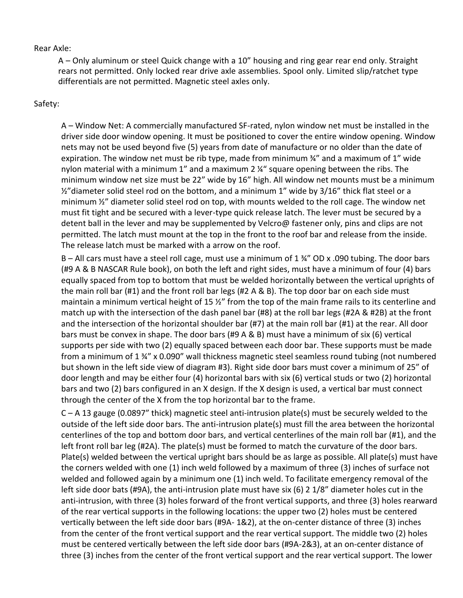#### Rear Axle:

A – Only aluminum or steel Quick change with a 10" housing and ring gear rear end only. Straight rears not permitted. Only locked rear drive axle assemblies. Spool only. Limited slip/ratchet type differentials are not permitted. Magnetic steel axles only.

## Safety:

A – Window Net: A commercially manufactured SF-rated, nylon window net must be installed in the driver side door window opening. It must be positioned to cover the entire window opening. Window nets may not be used beyond five (5) years from date of manufacture or no older than the date of expiration. The window net must be rib type, made from minimum  $\frac{3}{4}$  and a maximum of 1<sup>"</sup> wide nylon material with a minimum 1" and a maximum 2 ¼" square opening between the ribs. The minimum window net size must be 22" wide by 16" high. All window net mounts must be a minimum  $\frac{1}{2}$ "diameter solid steel rod on the bottom, and a minimum 1" wide by 3/16" thick flat steel or a minimum ½" diameter solid steel rod on top, with mounts welded to the roll cage. The window net must fit tight and be secured with a lever-type quick release latch. The lever must be secured by a detent ball in the lever and may be supplemented by Velcro@ fastener only, pins and clips are not permitted. The latch must mount at the top in the front to the roof bar and release from the inside. The release latch must be marked with a arrow on the roof.

B – All cars must have a steel roll cage, must use a minimum of 1 ¾" OD x .090 tubing. The door bars (#9 A & B NASCAR Rule book), on both the left and right sides, must have a minimum of four (4) bars equally spaced from top to bottom that must be welded horizontally between the vertical uprights of the main roll bar (#1) and the front roll bar legs (#2 A & B). The top door bar on each side must maintain a minimum vertical height of 15  $\frac{y}{r}$  from the top of the main frame rails to its centerline and match up with the intersection of the dash panel bar (#8) at the roll bar legs (#2A & #2B) at the front and the intersection of the horizontal shoulder bar (#7) at the main roll bar (#1) at the rear. All door bars must be convex in shape. The door bars (#9 A & B) must have a minimum of six (6) vertical supports per side with two (2) equally spaced between each door bar. These supports must be made from a minimum of  $1\frac{3}{4}$  x 0.090" wall thickness magnetic steel seamless round tubing (not numbered but shown in the left side view of diagram #3). Right side door bars must cover a minimum of 25" of door length and may be either four (4) horizontal bars with six (6) vertical studs or two (2) horizontal bars and two (2) bars configured in an X design. If the X design is used, a vertical bar must connect through the center of the X from the top horizontal bar to the frame.

C – A 13 gauge (0.0897" thick) magnetic steel anti-intrusion plate(s) must be securely welded to the outside of the left side door bars. The anti-intrusion plate(s) must fill the area between the horizontal centerlines of the top and bottom door bars, and vertical centerlines of the main roll bar (#1), and the left front roll bar leg (#2A). The plate(s) must be formed to match the curvature of the door bars. Plate(s) welded between the vertical upright bars should be as large as possible. All plate(s) must have the corners welded with one (1) inch weld followed by a maximum of three (3) inches of surface not welded and followed again by a minimum one (1) inch weld. To facilitate emergency removal of the left side door bats (#9A), the anti-intrusion plate must have six (6) 2 1/8" diameter holes cut in the anti-intrusion, with three (3) holes forward of the front vertical supports, and three (3) holes rearward of the rear vertical supports in the following locations: the upper two (2) holes must be centered vertically between the left side door bars (#9A- 1&2), at the on-center distance of three (3) inches from the center of the front vertical support and the rear vertical support. The middle two (2) holes must be centered vertically between the left side door bars (#9A-2&3), at an on-center distance of three (3) inches from the center of the front vertical support and the rear vertical support. The lower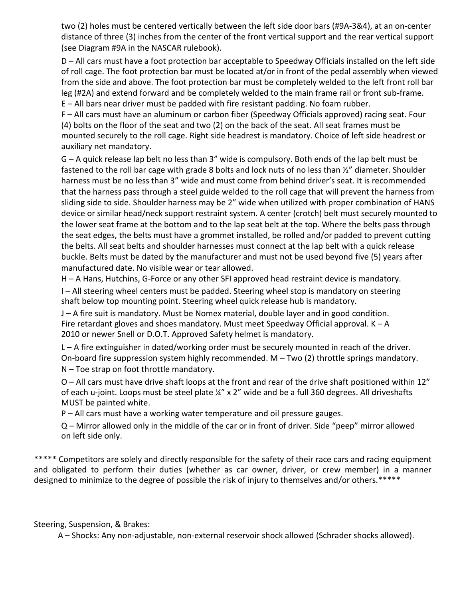two (2) holes must be centered vertically between the left side door bars (#9A-3&4), at an on-center distance of three (3) inches from the center of the front vertical support and the rear vertical support (see Diagram #9A in the NASCAR rulebook).

D – All cars must have a foot protection bar acceptable to Speedway Officials installed on the left side of roll cage. The foot protection bar must be located at/or in front of the pedal assembly when viewed from the side and above. The foot protection bar must be completely welded to the left front roll bar leg (#2A) and extend forward and be completely welded to the main frame rail or front sub-frame.

E – All bars near driver must be padded with fire resistant padding. No foam rubber. F – All cars must have an aluminum or carbon fiber (Speedway Officials approved) racing seat. Four

(4) bolts on the floor of the seat and two (2) on the back of the seat. All seat frames must be mounted securely to the roll cage. Right side headrest is mandatory. Choice of left side headrest or auxiliary net mandatory.

G – A quick release lap belt no less than 3" wide is compulsory. Both ends of the lap belt must be fastened to the roll bar cage with grade 8 bolts and lock nuts of no less than  $\frac{1}{2}$ " diameter. Shoulder harness must be no less than 3" wide and must come from behind driver's seat. It is recommended that the harness pass through a steel guide welded to the roll cage that will prevent the harness from sliding side to side. Shoulder harness may be 2" wide when utilized with proper combination of HANS device or similar head/neck support restraint system. A center (crotch) belt must securely mounted to the lower seat frame at the bottom and to the lap seat belt at the top. Where the belts pass through the seat edges, the belts must have a grommet installed, be rolled and/or padded to prevent cutting the belts. All seat belts and shoulder harnesses must connect at the lap belt with a quick release buckle. Belts must be dated by the manufacturer and must not be used beyond five (5) years after manufactured date. No visible wear or tear allowed.

H – A Hans, Hutchins, G-Force or any other SFI approved head restraint device is mandatory.

I – All steering wheel centers must be padded. Steering wheel stop is mandatory on steering shaft below top mounting point. Steering wheel quick release hub is mandatory.

J – A fire suit is mandatory. Must be Nomex material, double layer and in good condition. Fire retardant gloves and shoes mandatory. Must meet Speedway Official approval. K – A 2010 or newer Snell or D.O.T. Approved Safety helmet is mandatory.

L – A fire extinguisher in dated/working order must be securely mounted in reach of the driver. On-board fire suppression system highly recommended. M – Two (2) throttle springs mandatory. N – Toe strap on foot throttle mandatory.

O – All cars must have drive shaft loops at the front and rear of the drive shaft positioned within 12" of each u-joint. Loops must be steel plate  $\frac{1}{4}$  x 2" wide and be a full 360 degrees. All driveshafts MUST be painted white.

P – All cars must have a working water temperature and oil pressure gauges.

Q – Mirror allowed only in the middle of the car or in front of driver. Side "peep" mirror allowed on left side only.

\*\*\*\*\* Competitors are solely and directly responsible for the safety of their race cars and racing equipment and obligated to perform their duties (whether as car owner, driver, or crew member) in a manner designed to minimize to the degree of possible the risk of injury to themselves and/or others.\*\*\*\*\*

Steering, Suspension, & Brakes:

A – Shocks: Any non-adjustable, non-external reservoir shock allowed (Schrader shocks allowed).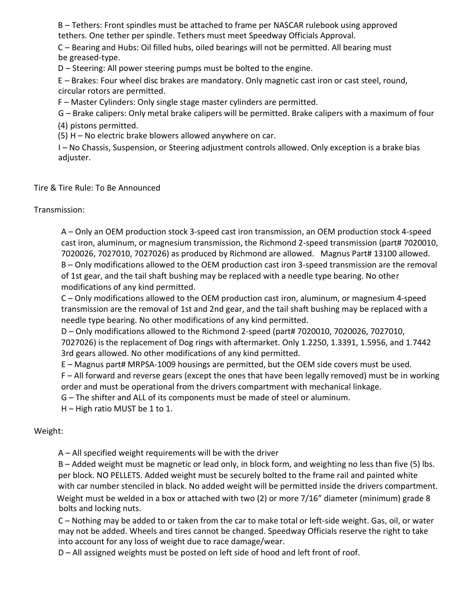B – Tethers: Front spindles must be attached to frame per NASCAR rulebook using approved tethers. One tether per spindle. Tethers must meet Speedway Officials Approval.

C – Bearing and Hubs: Oil filled hubs, oiled bearings will not be permitted. All bearing must be greased-type.

D – Steering: All power steering pumps must be bolted to the engine.

E – Brakes: Four wheel disc brakes are mandatory. Only magnetic cast iron or cast steel, round, circular rotors are permitted.

F – Master Cylinders: Only single stage master cylinders are permitted.

G – Brake calipers: Only metal brake calipers will be permitted. Brake calipers with a maximum of four (4) pistons permitted.

(5) H – No electric brake blowers allowed anywhere on car.

I – No Chassis, Suspension, or Steering adjustment controls allowed. Only exception is a brake bias adjuster.

Tire & Tire Rule: To Be Announced

Transmission:

A – Only an OEM production stock 3-speed cast iron transmission, an OEM production stock 4-speed cast iron, aluminum, or magnesium transmission, the Richmond 2-speed transmission (part# 7020010, 7020026, 7027010, 7027026) as produced by Richmond are allowed. Magnus Part# 13100 allowed. B – Only modifications allowed to the OEM production cast iron 3-speed transmission are the removal of 1st gear, and the tail shaft bushing may be replaced with a needle type bearing. No other modifications of any kind permitted.

C – Only modifications allowed to the OEM production cast iron, aluminum, or magnesium 4-speed transmission are the removal of 1st and 2nd gear, and the tail shaft bushing may be replaced with a needle type bearing. No other modifications of any kind permitted.

D – Only modifications allowed to the Richmond 2-speed (part# 7020010, 7020026, 7027010, 7027026) is the replacement of Dog rings with aftermarket. Only 1.2250, 1.3391, 1.5956, and 1.7442 3rd gears allowed. No other modifications of any kind permitted.

E – Magnus part# MRPSA-1009 housings are permitted, but the OEM side covers must be used.

F – All forward and reverse gears (except the ones that have been legally removed) must be in working order and must be operational from the drivers compartment with mechanical linkage.

G – The shifter and ALL of its components must be made of steel or aluminum.

H – High ratio MUST be 1 to 1.

# Weight:

A – All specified weight requirements will be with the driver

B – Added weight must be magnetic or lead only, in block form, and weighting no less than five (5) lbs. per block. NO PELLETS. Added weight must be securely bolted to the frame rail and painted white with car number stenciled in black. No added weight will be permitted inside the drivers compartment. Weight must be welded in a box or attached with two (2) or more 7/16" diameter (minimum) grade 8 bolts and locking nuts.

C – Nothing may be added to or taken from the car to make total or left-side weight. Gas, oil, or water may not be added. Wheels and tires cannot be changed. Speedway Officials reserve the right to take into account for any loss of weight due to race damage/wear.

D – All assigned weights must be posted on left side of hood and left front of roof.